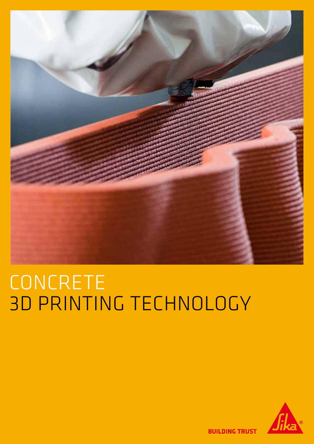

# CONCRETE 3D PRINTING TECHNOLOGY



**BUILDING TRUST**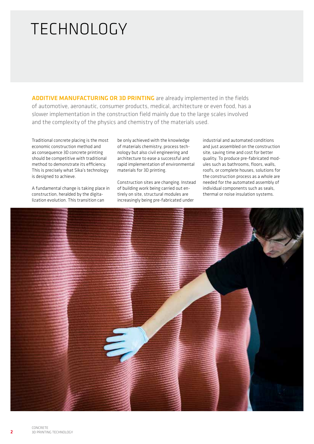## TECHNOLOGY

ADDITIVE MANUFACTURING OR 3D PRINTING are already implemented in the fields of automotive, aeronautic, consumer products, medical, architecture or even food, has a slower implementation in the construction field mainly due to the large scales involved and the complexity of the physics and chemistry of the materials used.

Traditional concrete placing is the most economic construction method and as consequence 3D concrete printing should be competitive with traditional method to demonstrate its efficiency. This is precisely what Sika's technology is designed to achieve.

A fundamental change is taking place in construction, heralded by the digitalization evolution. This transition can

be only achieved with the knowledge of materials chemistry, process technology but also civil engineering and architecture to ease a successful and rapid implementation of environmental materials for 3D printing.

Construction sites are changing. Instead of building work being carried out entirely on site, structural modules are increasingly being pre-fabricated under

industrial and automated conditions and just assembled on the construction site, saving time and cost for better quality. To produce pre-fabricated modules such as bathrooms, floors, walls, roofs, or complete houses, solutions for the construction process as a whole are needed for the automated assembly of individual components such as seals, thermal or noise insulation systems.

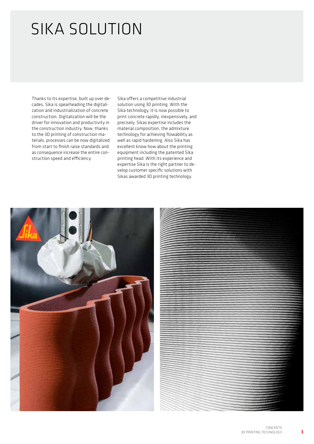# SIKA SOLUTION

Thanks to its expertise, built up over decades, Sika is spearheading the digitalization and industrialization of concrete construction. Digitalization will be the driver for innovation and productivity in the construction industry. Now, thanks to the 3D printing of construction materials, processes can be now digitalized from start to finish raise standards and as consequence increase the entire construction speed and efficiency.

Sika offers a competitive industrial solution using 3D printing. With the Sika technology, it is now possible to print concrete rapidly, inexpensively, and precisely. Sikas expertise includes the material composition, the admixture technology for achieving flowability as well as rapid hardening. Also Sika has excellent know how about the printing equipment including the patented Sika printing head. With its experience and expertise Sika is the right partner to develop customer specific solutions with Sikas awarded 3D printing technology.